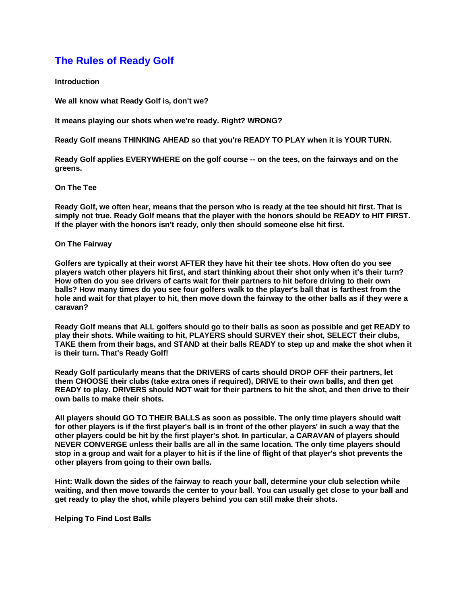# **The Rules of Ready Golf**

**Introduction**

**We all know what Ready Golf is, don't we?**

**It means playing our shots when we're ready. Right? WRONG?**

**Ready Golf means THINKING AHEAD so that you're READY TO PLAY when it is YOUR TURN.**

**Ready Golf applies EVERYWHERE on the golf course -- on the tees, on the fairways and on the greens.** 

# **On The Tee**

**Ready Golf, we often hear, means that the person who is ready at the tee should hit first. That is simply not true. Ready Golf means that the player with the honors should be READY to HIT FIRST. If the player with the honors isn't ready, only then should someone else hit first.**

# **On The Fairway**

**Golfers are typically at their worst AFTER they have hit their tee shots. How often do you see players watch other players hit first, and start thinking about their shot only when it's their turn? How often do you see drivers of carts wait for their partners to hit before driving to their own balls? How many times do you see four golfers walk to the player's ball that is farthest from the hole and wait for that player to hit, then move down the fairway to the other balls as if they were a caravan?**

**Ready Golf means that ALL golfers should go to their balls as soon as possible and get READY to play their shots. While waiting to hit, PLAYERS should SURVEY their shot, SELECT their clubs, TAKE them from their bags, and STAND at their balls READY to step up and make the shot when it is their turn. That's Ready Golf!**

**Ready Golf particularly means that the DRIVERS of carts should DROP OFF their partners, let them CHOOSE their clubs (take extra ones if required), DRIVE to their own balls, and then get READY to play. DRIVERS should NOT wait for their partners to hit the shot, and then drive to their own balls to make their shots.**

**All players should GO TO THEIR BALLS as soon as possible. The only time players should wait for other players is if the first player's ball is in front of the other players' in such a way that the other players could be hit by the first player's shot. In particular, a CARAVAN of players should NEVER CONVERGE unless their balls are all in the same location. The only time players should stop in a group and wait for a player to hit is if the line of flight of that player's shot prevents the other players from going to their own balls.**

**Hint: Walk down the sides of the fairway to reach your ball, determine your club selection while waiting, and then move towards the center to your ball. You can usually get close to your ball and get ready to play the shot, while players behind you can still make their shots.**

**Helping To Find Lost Balls**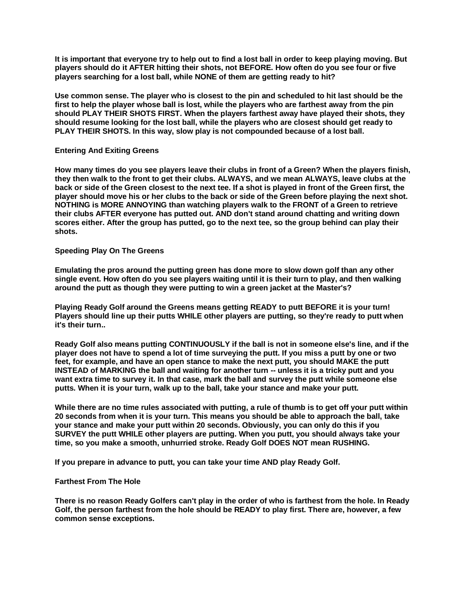**It is important that everyone try to help out to find a lost ball in order to keep playing moving. But players should do it AFTER hitting their shots, not BEFORE. How often do you see four or five players searching for a lost ball, while NONE of them are getting ready to hit?**

**Use common sense. The player who is closest to the pin and scheduled to hit last should be the first to help the player whose ball is lost, while the players who are farthest away from the pin should PLAY THEIR SHOTS FIRST. When the players farthest away have played their shots, they should resume looking for the lost ball, while the players who are closest should get ready to PLAY THEIR SHOTS. In this way, slow play is not compounded because of a lost ball.** 

# **Entering And Exiting Greens**

**How many times do you see players leave their clubs in front of a Green? When the players finish, they then walk to the front to get their clubs. ALWAYS, and we mean ALWAYS, leave clubs at the back or side of the Green closest to the next tee. If a shot is played in front of the Green first, the player should move his or her clubs to the back or side of the Green before playing the next shot. NOTHING is MORE ANNOYING than watching players walk to the FRONT of a Green to retrieve their clubs AFTER everyone has putted out. AND don't stand around chatting and writing down scores either. After the group has putted, go to the next tee, so the group behind can play their shots.**

# **Speeding Play On The Greens**

**Emulating the pros around the putting green has done more to slow down golf than any other single event. How often do you see players waiting until it is their turn to play, and then walking around the putt as though they were putting to win a green jacket at the Master's?**

**Playing Ready Golf around the Greens means getting READY to putt BEFORE it is your turn! Players should line up their putts WHILE other players are putting, so they're ready to putt when it's their turn..**

**Ready Golf also means putting CONTINUOUSLY if the ball is not in someone else's line, and if the player does not have to spend a lot of time surveying the putt. If you miss a putt by one or two feet, for example, and have an open stance to make the next putt, you should MAKE the putt INSTEAD of MARKING the ball and waiting for another turn -- unless it is a tricky putt and you want extra time to survey it. In that case, mark the ball and survey the putt while someone else putts. When it is your turn, walk up to the ball, take your stance and make your putt.**

**While there are no time rules associated with putting, a rule of thumb is to get off your putt within 20 seconds from when it is your turn. This means you should be able to approach the ball, take your stance and make your putt within 20 seconds. Obviously, you can only do this if you SURVEY the putt WHILE other players are putting. When you putt, you should always take your time, so you make a smooth, unhurried stroke. Ready Golf DOES NOT mean RUSHING.**

**If you prepare in advance to putt, you can take your time AND play Ready Golf.**

# **Farthest From The Hole**

**There is no reason Ready Golfers can't play in the order of who is farthest from the hole. In Ready Golf, the person farthest from the hole should be READY to play first. There are, however, a few common sense exceptions.**